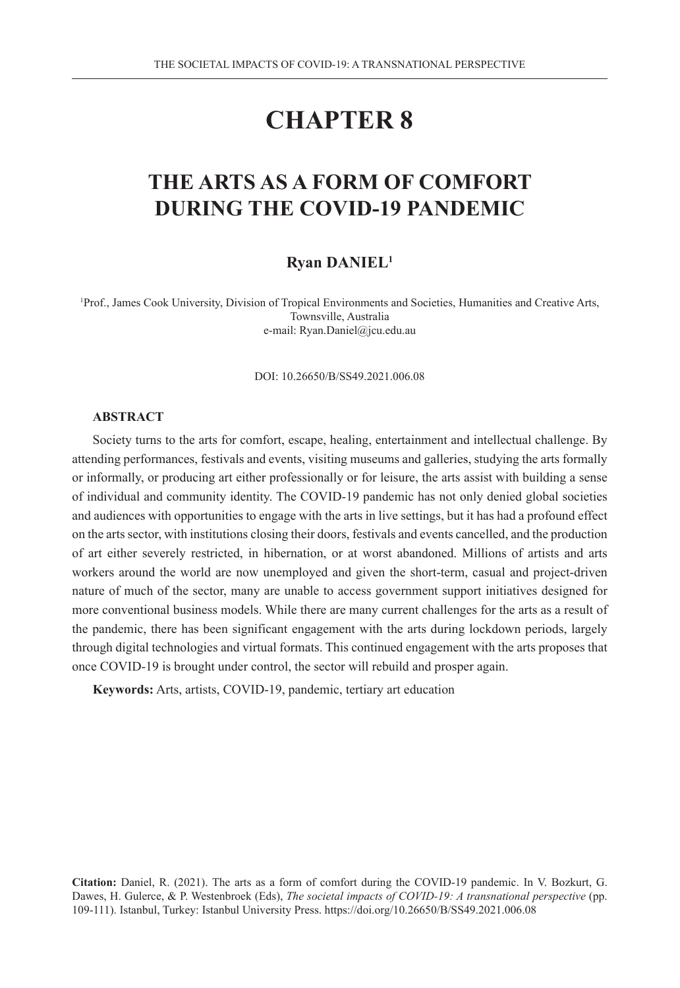# **CHAPTER 8**

## **THE ARTS AS A FORM OF COMFORT DURING THE COVID-19 PANDEMIC**

#### **Ryan DANIEL1**

1 Prof., James Cook University, Division of Tropical Environments and Societies, Humanities and Creative Arts, Townsville, Australia e-mail: Ryan.Daniel@jcu.edu.au

DOI: 10.26650/B/SS49.2021.006.08

#### **ABSTRACT**

Society turns to the arts for comfort, escape, healing, entertainment and intellectual challenge. By attending performances, festivals and events, visiting museums and galleries, studying the arts formally or informally, or producing art either professionally or for leisure, the arts assist with building a sense of individual and community identity. The COVID-19 pandemic has not only denied global societies and audiences with opportunities to engage with the arts in live settings, but it has had a profound effect on the arts sector, with institutions closing their doors, festivals and events cancelled, and the production of art either severely restricted, in hibernation, or at worst abandoned. Millions of artists and arts workers around the world are now unemployed and given the short-term, casual and project-driven nature of much of the sector, many are unable to access government support initiatives designed for more conventional business models. While there are many current challenges for the arts as a result of the pandemic, there has been significant engagement with the arts during lockdown periods, largely through digital technologies and virtual formats. This continued engagement with the arts proposes that once COVID-19 is brought under control, the sector will rebuild and prosper again.

**Keywords:** Arts, artists, COVID-19, pandemic, tertiary art education

**Citation:** Daniel, R. (2021). The arts as a form of comfort during the COVID-19 pandemic. In V. Bozkurt, G. Dawes, H. Gulerce, & P. Westenbroek (Eds), *The societal impacts of COVID-19: A transnational perspective* (pp. 109-111). Istanbul, Turkey: Istanbul University Press. https://doi.org/10.26650/B/SS49.2021.006.08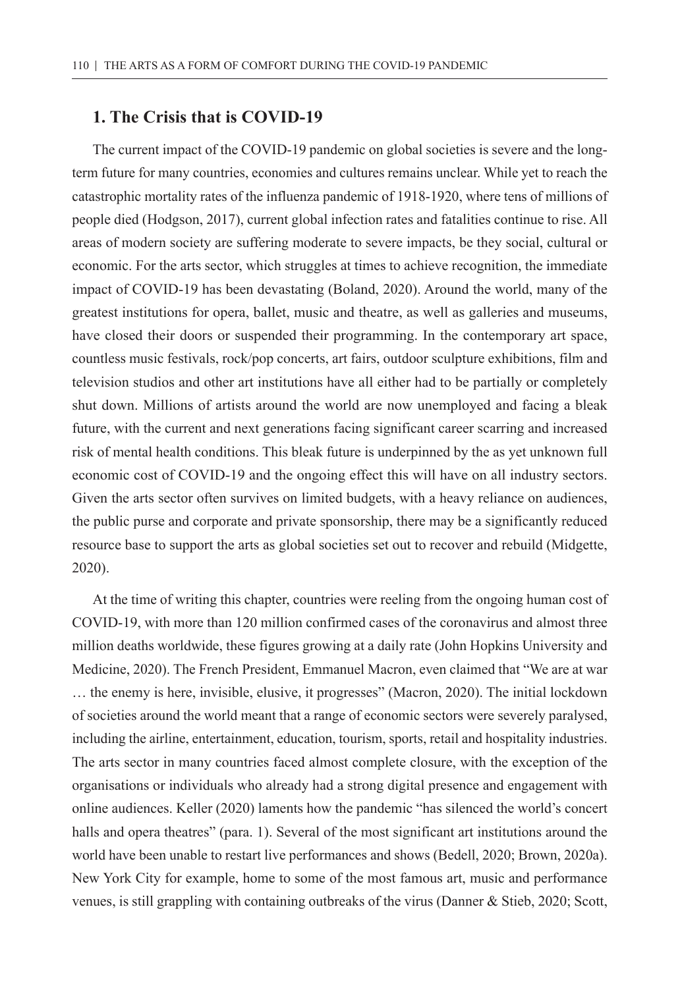### **1. The Crisis that is COVID-19**

The current impact of the COVID-19 pandemic on global societies is severe and the longterm future for many countries, economies and cultures remains unclear. While yet to reach the catastrophic mortality rates of the influenza pandemic of 1918-1920, where tens of millions of people died (Hodgson, 2017), current global infection rates and fatalities continue to rise. All areas of modern society are suffering moderate to severe impacts, be they social, cultural or economic. For the arts sector, which struggles at times to achieve recognition, the immediate impact of COVID-19 has been devastating (Boland, 2020). Around the world, many of the greatest institutions for opera, ballet, music and theatre, as well as galleries and museums, have closed their doors or suspended their programming. In the contemporary art space, countless music festivals, rock/pop concerts, art fairs, outdoor sculpture exhibitions, film and television studios and other art institutions have all either had to be partially or completely shut down. Millions of artists around the world are now unemployed and facing a bleak future, with the current and next generations facing significant career scarring and increased risk of mental health conditions. This bleak future is underpinned by the as yet unknown full economic cost of COVID-19 and the ongoing effect this will have on all industry sectors. Given the arts sector often survives on limited budgets, with a heavy reliance on audiences, the public purse and corporate and private sponsorship, there may be a significantly reduced resource base to support the arts as global societies set out to recover and rebuild (Midgette, 2020).

At the time of writing this chapter, countries were reeling from the ongoing human cost of COVID-19, with more than 120 million confirmed cases of the coronavirus and almost three million deaths worldwide, these figures growing at a daily rate (John Hopkins University and Medicine, 2020). The French President, Emmanuel Macron, even claimed that "We are at war … the enemy is here, invisible, elusive, it progresses" (Macron, 2020). The initial lockdown of societies around the world meant that a range of economic sectors were severely paralysed, including the airline, entertainment, education, tourism, sports, retail and hospitality industries. The arts sector in many countries faced almost complete closure, with the exception of the organisations or individuals who already had a strong digital presence and engagement with online audiences. Keller (2020) laments how the pandemic "has silenced the world's concert halls and opera theatres" (para. 1). Several of the most significant art institutions around the world have been unable to restart live performances and shows (Bedell, 2020; Brown, 2020a). New York City for example, home to some of the most famous art, music and performance venues, is still grappling with containing outbreaks of the virus (Danner & Stieb, 2020; Scott,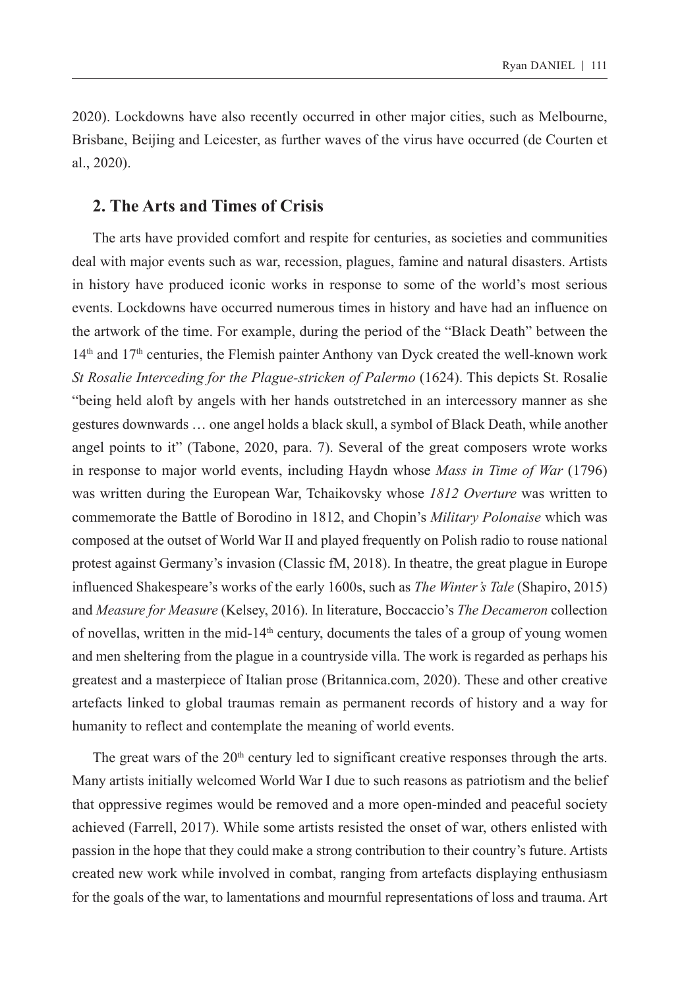2020). Lockdowns have also recently occurred in other major cities, such as Melbourne, Brisbane, Beijing and Leicester, as further waves of the virus have occurred (de Courten et al., 2020).

#### **2. The Arts and Times of Crisis**

The arts have provided comfort and respite for centuries, as societies and communities deal with major events such as war, recession, plagues, famine and natural disasters. Artists in history have produced iconic works in response to some of the world's most serious events. Lockdowns have occurred numerous times in history and have had an influence on the artwork of the time. For example, during the period of the "Black Death" between the 14th and 17th centuries, the Flemish painter Anthony van Dyck created the well-known work *St Rosalie Interceding for the Plague-stricken of Palermo* (1624). This depicts St. Rosalie "being held aloft by angels with her hands outstretched in an intercessory manner as she gestures downwards … one angel holds a black skull, a symbol of Black Death, while another angel points to it" (Tabone, 2020, para. 7). Several of the great composers wrote works in response to major world events, including Haydn whose *Mass in Time of War* (1796) was written during the European War, Tchaikovsky whose *1812 Overture* was written to commemorate the Battle of Borodino in 1812, and Chopin's *Military Polonaise* which was composed at the outset of World War II and played frequently on Polish radio to rouse national protest against Germany's invasion (Classic fM, 2018). In theatre, the great plague in Europe influenced Shakespeare's works of the early 1600s, such as *The Winter's Tale* (Shapiro, 2015) and *Measure for Measure* (Kelsey, 2016). In literature, Boccaccio's *The Decameron* collection of novellas, written in the mid-14<sup>th</sup> century, documents the tales of a group of young women and men sheltering from the plague in a countryside villa. The work is regarded as perhaps his greatest and a masterpiece of Italian prose (Britannica.com, 2020). These and other creative artefacts linked to global traumas remain as permanent records of history and a way for humanity to reflect and contemplate the meaning of world events.

The great wars of the  $20<sup>th</sup>$  century led to significant creative responses through the arts. Many artists initially welcomed World War I due to such reasons as patriotism and the belief that oppressive regimes would be removed and a more open-minded and peaceful society achieved (Farrell, 2017). While some artists resisted the onset of war, others enlisted with passion in the hope that they could make a strong contribution to their country's future. Artists created new work while involved in combat, ranging from artefacts displaying enthusiasm for the goals of the war, to lamentations and mournful representations of loss and trauma. Art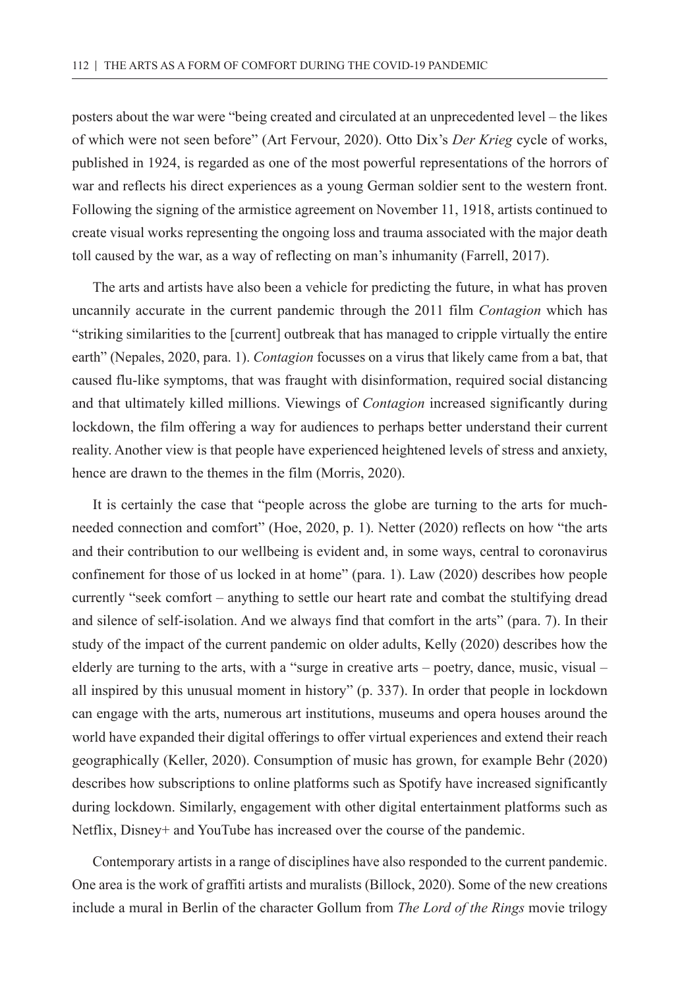posters about the war were "being created and circulated at an unprecedented level – the likes of which were not seen before" (Art Fervour, 2020). Otto Dix's *Der Krieg* cycle of works, published in 1924, is regarded as one of the most powerful representations of the horrors of war and reflects his direct experiences as a young German soldier sent to the western front. Following the signing of the armistice agreement on November 11, 1918, artists continued to create visual works representing the ongoing loss and trauma associated with the major death toll caused by the war, as a way of reflecting on man's inhumanity (Farrell, 2017).

The arts and artists have also been a vehicle for predicting the future, in what has proven uncannily accurate in the current pandemic through the 2011 film *Contagion* which has "striking similarities to the [current] outbreak that has managed to cripple virtually the entire earth" (Nepales, 2020, para. 1). *Contagion* focusses on a virus that likely came from a bat, that caused flu-like symptoms, that was fraught with disinformation, required social distancing and that ultimately killed millions. Viewings of *Contagion* increased significantly during lockdown, the film offering a way for audiences to perhaps better understand their current reality. Another view is that people have experienced heightened levels of stress and anxiety, hence are drawn to the themes in the film (Morris, 2020).

It is certainly the case that "people across the globe are turning to the arts for muchneeded connection and comfort" (Hoe, 2020, p. 1). Netter (2020) reflects on how "the arts and their contribution to our wellbeing is evident and, in some ways, central to coronavirus confinement for those of us locked in at home" (para. 1). Law (2020) describes how people currently "seek comfort – anything to settle our heart rate and combat the stultifying dread and silence of self-isolation. And we always find that comfort in the arts" (para. 7). In their study of the impact of the current pandemic on older adults, Kelly (2020) describes how the elderly are turning to the arts, with a "surge in creative arts – poetry, dance, music, visual – all inspired by this unusual moment in history" (p. 337). In order that people in lockdown can engage with the arts, numerous art institutions, museums and opera houses around the world have expanded their digital offerings to offer virtual experiences and extend their reach geographically (Keller, 2020). Consumption of music has grown, for example Behr (2020) describes how subscriptions to online platforms such as Spotify have increased significantly during lockdown. Similarly, engagement with other digital entertainment platforms such as Netflix, Disney+ and YouTube has increased over the course of the pandemic.

Contemporary artists in a range of disciplines have also responded to the current pandemic. One area is the work of graffiti artists and muralists (Billock, 2020). Some of the new creations include a mural in Berlin of the character Gollum from *The Lord of the Rings* movie trilogy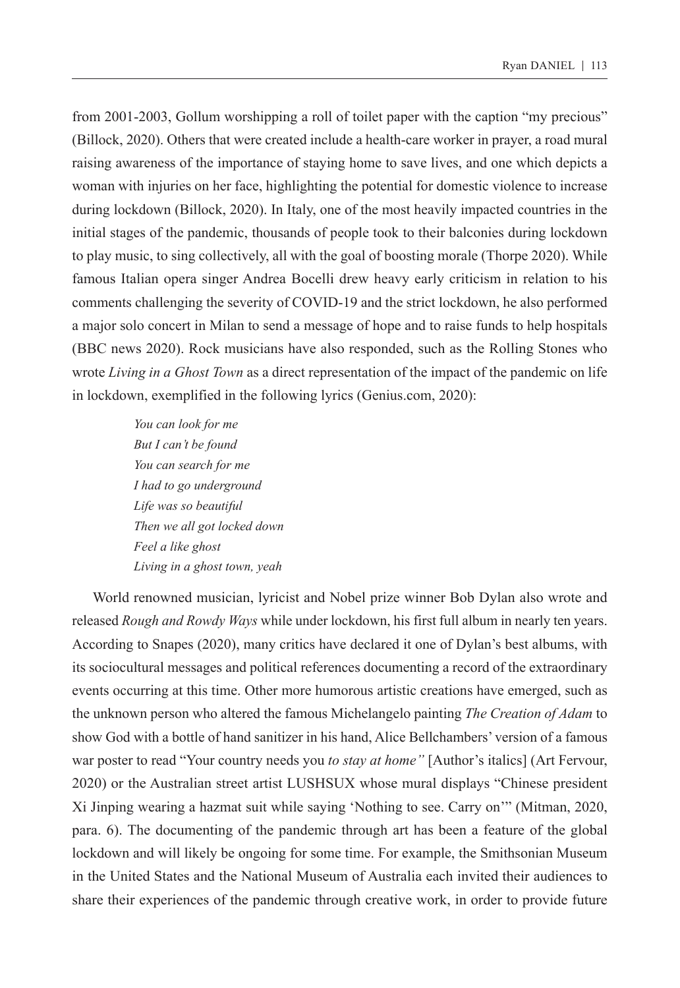from 2001-2003, Gollum worshipping a roll of toilet paper with the caption "my precious" (Billock, 2020). Others that were created include a health-care worker in prayer, a road mural raising awareness of the importance of staying home to save lives, and one which depicts a woman with injuries on her face, highlighting the potential for domestic violence to increase during lockdown (Billock, 2020). In Italy, one of the most heavily impacted countries in the initial stages of the pandemic, thousands of people took to their balconies during lockdown to play music, to sing collectively, all with the goal of boosting morale (Thorpe 2020). While famous Italian opera singer Andrea Bocelli drew heavy early criticism in relation to his comments challenging the severity of COVID-19 and the strict lockdown, he also performed a major solo concert in Milan to send a message of hope and to raise funds to help hospitals (BBC news 2020). Rock musicians have also responded, such as the Rolling Stones who wrote *Living in a Ghost Town* as a direct representation of the impact of the pandemic on life in lockdown, exemplified in the following lyrics (Genius.com, 2020):

> *You can look for me But I can't be found You can search for me I had to go underground Life was so beautiful Then we all got locked down Feel a like ghost Living in a ghost town, yeah*

World renowned musician, lyricist and Nobel prize winner Bob Dylan also wrote and released *Rough and Rowdy Ways* while under lockdown, his first full album in nearly ten years. According to Snapes (2020), many critics have declared it one of Dylan's best albums, with its sociocultural messages and political references documenting a record of the extraordinary events occurring at this time. Other more humorous artistic creations have emerged, such as the unknown person who altered the famous Michelangelo painting *The Creation of Adam* to show God with a bottle of hand sanitizer in his hand, Alice Bellchambers' version of a famous war poster to read "Your country needs you *to stay at home"* [Author's italics] (Art Fervour, 2020) or the Australian street artist LUSHSUX whose mural displays "Chinese president Xi Jinping wearing a hazmat suit while saying 'Nothing to see. Carry on'" (Mitman, 2020, para. 6). The documenting of the pandemic through art has been a feature of the global lockdown and will likely be ongoing for some time. For example, the Smithsonian Museum in the United States and the National Museum of Australia each invited their audiences to share their experiences of the pandemic through creative work, in order to provide future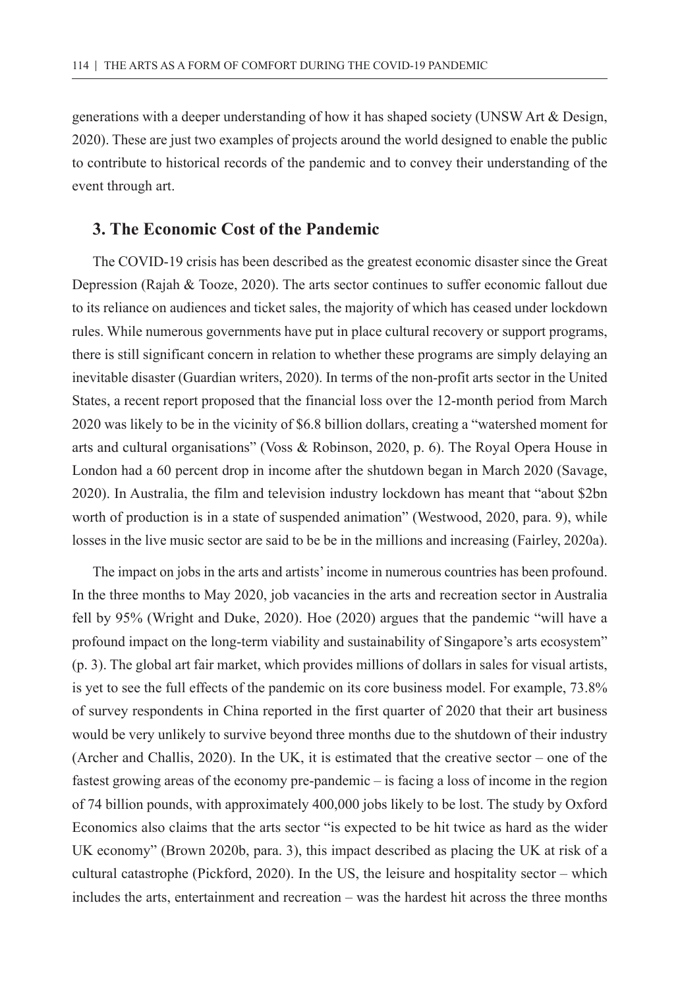generations with a deeper understanding of how it has shaped society (UNSW Art & Design, 2020). These are just two examples of projects around the world designed to enable the public to contribute to historical records of the pandemic and to convey their understanding of the event through art.

#### **3. The Economic Cost of the Pandemic**

The COVID-19 crisis has been described as the greatest economic disaster since the Great Depression (Rajah & Tooze, 2020). The arts sector continues to suffer economic fallout due to its reliance on audiences and ticket sales, the majority of which has ceased under lockdown rules. While numerous governments have put in place cultural recovery or support programs, there is still significant concern in relation to whether these programs are simply delaying an inevitable disaster (Guardian writers, 2020). In terms of the non-profit arts sector in the United States, a recent report proposed that the financial loss over the 12-month period from March 2020 was likely to be in the vicinity of \$6.8 billion dollars, creating a "watershed moment for arts and cultural organisations" (Voss & Robinson, 2020, p. 6). The Royal Opera House in London had a 60 percent drop in income after the shutdown began in March 2020 (Savage, 2020). In Australia, the film and television industry lockdown has meant that "about \$2bn worth of production is in a state of suspended animation" (Westwood, 2020, para. 9), while losses in the live music sector are said to be be in the millions and increasing (Fairley, 2020a).

The impact on jobs in the arts and artists' income in numerous countries has been profound. In the three months to May 2020, job vacancies in the arts and recreation sector in Australia fell by 95% (Wright and Duke, 2020). Hoe (2020) argues that the pandemic "will have a profound impact on the long-term viability and sustainability of Singapore's arts ecosystem" (p. 3). The global art fair market, which provides millions of dollars in sales for visual artists, is yet to see the full effects of the pandemic on its core business model. For example, 73.8% of survey respondents in China reported in the first quarter of 2020 that their art business would be very unlikely to survive beyond three months due to the shutdown of their industry (Archer and Challis, 2020). In the UK, it is estimated that the creative sector – one of the fastest growing areas of the economy pre-pandemic – is facing a loss of income in the region of 74 billion pounds, with approximately 400,000 jobs likely to be lost. The study by Oxford Economics also claims that the arts sector "is expected to be hit twice as hard as the wider UK economy" (Brown 2020b, para. 3), this impact described as placing the UK at risk of a cultural catastrophe (Pickford, 2020). In the US, the leisure and hospitality sector – which includes the arts, entertainment and recreation – was the hardest hit across the three months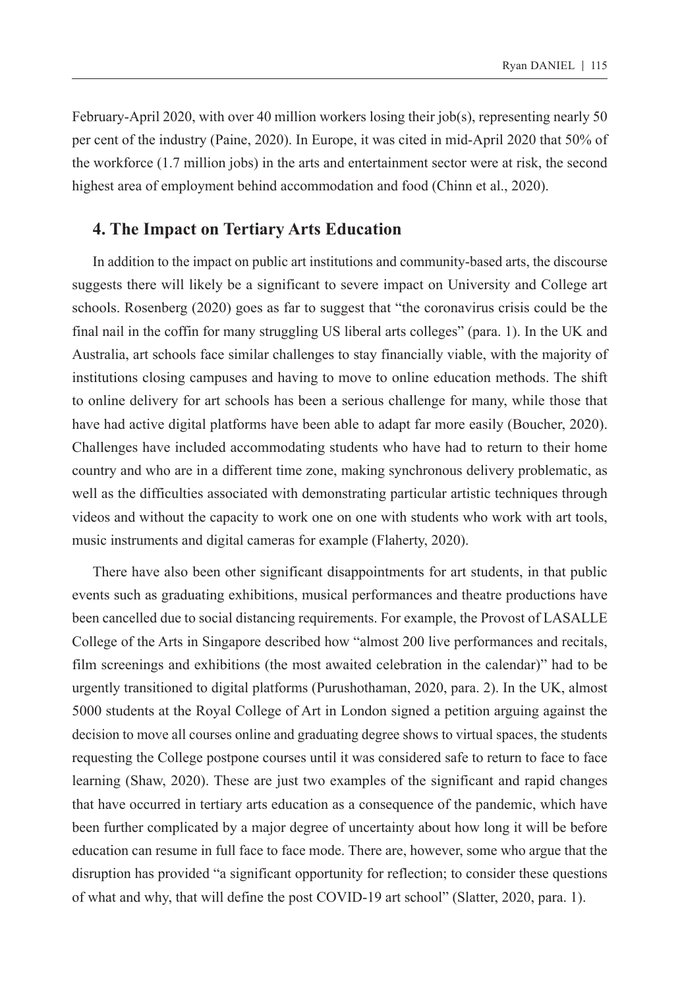February-April 2020, with over 40 million workers losing their job(s), representing nearly 50 per cent of the industry (Paine, 2020). In Europe, it was cited in mid-April 2020 that 50% of the workforce (1.7 million jobs) in the arts and entertainment sector were at risk, the second highest area of employment behind accommodation and food (Chinn et al., 2020).

## **4. The Impact on Tertiary Arts Education**

In addition to the impact on public art institutions and community-based arts, the discourse suggests there will likely be a significant to severe impact on University and College art schools. Rosenberg (2020) goes as far to suggest that "the coronavirus crisis could be the final nail in the coffin for many struggling US liberal arts colleges" (para. 1). In the UK and Australia, art schools face similar challenges to stay financially viable, with the majority of institutions closing campuses and having to move to online education methods. The shift to online delivery for art schools has been a serious challenge for many, while those that have had active digital platforms have been able to adapt far more easily (Boucher, 2020). Challenges have included accommodating students who have had to return to their home country and who are in a different time zone, making synchronous delivery problematic, as well as the difficulties associated with demonstrating particular artistic techniques through videos and without the capacity to work one on one with students who work with art tools, music instruments and digital cameras for example (Flaherty, 2020).

There have also been other significant disappointments for art students, in that public events such as graduating exhibitions, musical performances and theatre productions have been cancelled due to social distancing requirements. For example, the Provost of LASALLE College of the Arts in Singapore described how "almost 200 live performances and recitals, film screenings and exhibitions (the most awaited celebration in the calendar)" had to be urgently transitioned to digital platforms (Purushothaman, 2020, para. 2). In the UK, almost 5000 students at the Royal College of Art in London signed a petition arguing against the decision to move all courses online and graduating degree shows to virtual spaces, the students requesting the College postpone courses until it was considered safe to return to face to face learning (Shaw, 2020). These are just two examples of the significant and rapid changes that have occurred in tertiary arts education as a consequence of the pandemic, which have been further complicated by a major degree of uncertainty about how long it will be before education can resume in full face to face mode. There are, however, some who argue that the disruption has provided "a significant opportunity for reflection; to consider these questions of what and why, that will define the post COVID-19 art school" (Slatter, 2020, para. 1).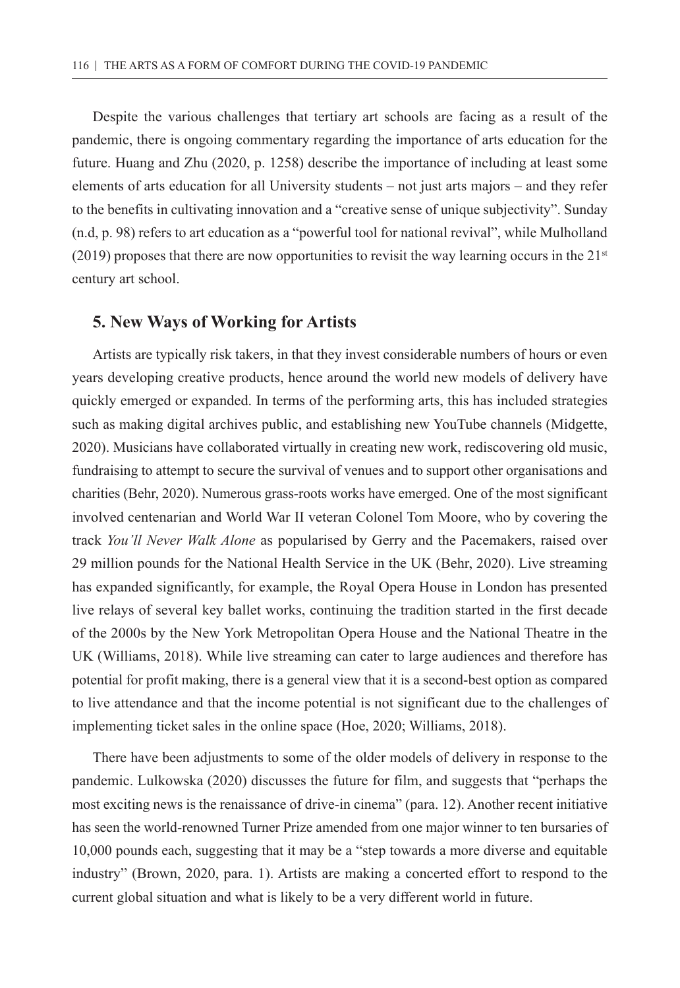Despite the various challenges that tertiary art schools are facing as a result of the pandemic, there is ongoing commentary regarding the importance of arts education for the future. Huang and Zhu (2020, p. 1258) describe the importance of including at least some elements of arts education for all University students – not just arts majors – and they refer to the benefits in cultivating innovation and a "creative sense of unique subjectivity". Sunday (n.d, p. 98) refers to art education as a "powerful tool for national revival", while Mulholland (2019) proposes that there are now opportunities to revisit the way learning occurs in the  $21<sup>st</sup>$ century art school.

#### **5. New Ways of Working for Artists**

Artists are typically risk takers, in that they invest considerable numbers of hours or even years developing creative products, hence around the world new models of delivery have quickly emerged or expanded. In terms of the performing arts, this has included strategies such as making digital archives public, and establishing new YouTube channels (Midgette, 2020). Musicians have collaborated virtually in creating new work, rediscovering old music, fundraising to attempt to secure the survival of venues and to support other organisations and charities (Behr, 2020). Numerous grass-roots works have emerged. One of the most significant involved centenarian and World War II veteran Colonel Tom Moore, who by covering the track *You'll Never Walk Alone* as popularised by Gerry and the Pacemakers, raised over 29 million pounds for the National Health Service in the UK (Behr, 2020). Live streaming has expanded significantly, for example, the Royal Opera House in London has presented live relays of several key ballet works, continuing the tradition started in the first decade of the 2000s by the New York Metropolitan Opera House and the National Theatre in the UK (Williams, 2018). While live streaming can cater to large audiences and therefore has potential for profit making, there is a general view that it is a second-best option as compared to live attendance and that the income potential is not significant due to the challenges of implementing ticket sales in the online space (Hoe, 2020; Williams, 2018).

There have been adjustments to some of the older models of delivery in response to the pandemic. Lulkowska (2020) discusses the future for film, and suggests that "perhaps the most exciting news is the renaissance of drive-in cinema" (para. 12). Another recent initiative has seen the world-renowned Turner Prize amended from one major winner to ten bursaries of 10,000 pounds each, suggesting that it may be a "step towards a more diverse and equitable industry" (Brown, 2020, para. 1). Artists are making a concerted effort to respond to the current global situation and what is likely to be a very different world in future.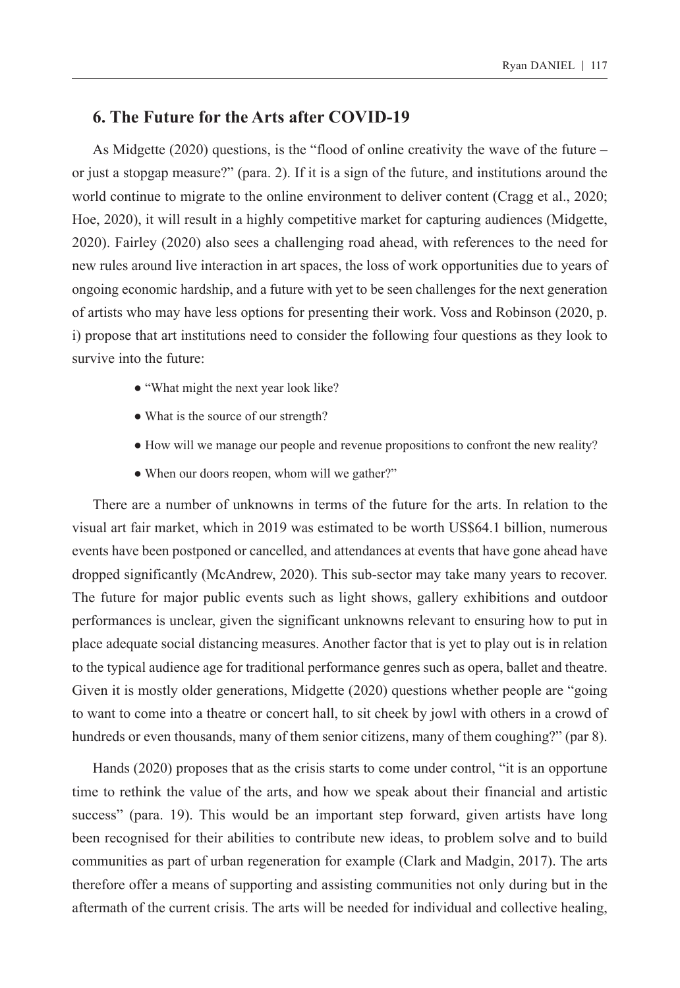## **6. The Future for the Arts after COVID-19**

As Midgette (2020) questions, is the "flood of online creativity the wave of the future – or just a stopgap measure?" (para. 2). If it is a sign of the future, and institutions around the world continue to migrate to the online environment to deliver content (Cragg et al., 2020; Hoe, 2020), it will result in a highly competitive market for capturing audiences (Midgette, 2020). Fairley (2020) also sees a challenging road ahead, with references to the need for new rules around live interaction in art spaces, the loss of work opportunities due to years of ongoing economic hardship, and a future with yet to be seen challenges for the next generation of artists who may have less options for presenting their work. Voss and Robinson (2020, p. i) propose that art institutions need to consider the following four questions as they look to survive into the future:

- "What might the next year look like?
- What is the source of our strength?
- How will we manage our people and revenue propositions to confront the new reality?
- When our doors reopen, whom will we gather?"

There are a number of unknowns in terms of the future for the arts. In relation to the visual art fair market, which in 2019 was estimated to be worth US\$64.1 billion, numerous events have been postponed or cancelled, and attendances at events that have gone ahead have dropped significantly (McAndrew, 2020). This sub-sector may take many years to recover. The future for major public events such as light shows, gallery exhibitions and outdoor performances is unclear, given the significant unknowns relevant to ensuring how to put in place adequate social distancing measures. Another factor that is yet to play out is in relation to the typical audience age for traditional performance genres such as opera, ballet and theatre. Given it is mostly older generations, Midgette (2020) questions whether people are "going to want to come into a theatre or concert hall, to sit cheek by jowl with others in a crowd of hundreds or even thousands, many of them senior citizens, many of them coughing?" (par 8).

Hands (2020) proposes that as the crisis starts to come under control, "it is an opportune time to rethink the value of the arts, and how we speak about their financial and artistic success" (para. 19). This would be an important step forward, given artists have long been recognised for their abilities to contribute new ideas, to problem solve and to build communities as part of urban regeneration for example (Clark and Madgin, 2017). The arts therefore offer a means of supporting and assisting communities not only during but in the aftermath of the current crisis. The arts will be needed for individual and collective healing,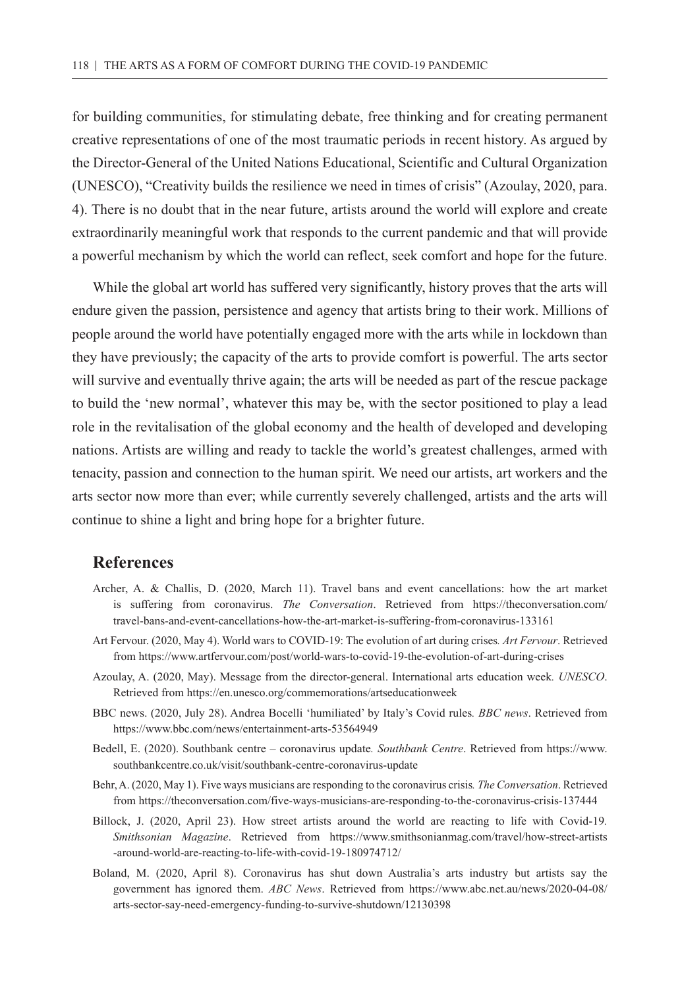for building communities, for stimulating debate, free thinking and for creating permanent creative representations of one of the most traumatic periods in recent history. As argued by the Director-General of the United Nations Educational, Scientific and Cultural Organization (UNESCO), "Creativity builds the resilience we need in times of crisis" (Azoulay, 2020, para. 4). There is no doubt that in the near future, artists around the world will explore and create extraordinarily meaningful work that responds to the current pandemic and that will provide a powerful mechanism by which the world can reflect, seek comfort and hope for the future.

While the global art world has suffered very significantly, history proves that the arts will endure given the passion, persistence and agency that artists bring to their work. Millions of people around the world have potentially engaged more with the arts while in lockdown than they have previously; the capacity of the arts to provide comfort is powerful. The arts sector will survive and eventually thrive again; the arts will be needed as part of the rescue package to build the 'new normal', whatever this may be, with the sector positioned to play a lead role in the revitalisation of the global economy and the health of developed and developing nations. Artists are willing and ready to tackle the world's greatest challenges, armed with tenacity, passion and connection to the human spirit. We need our artists, art workers and the arts sector now more than ever; while currently severely challenged, artists and the arts will continue to shine a light and bring hope for a brighter future.

## **References**

- Archer, A. & Challis, D. (2020, March 11). Travel bans and event cancellations: how the art market is suffering from coronavirus. *The Conversation*. Retrieved from [https://theconversation.com/](https://theconversation.com/travel-bans-and-event-cancellations-how-the-art-market-is-suffering-from-coronavirus-133161) [travel-bans-and-event-cancellations-how-the-art-market-is-suffering-from-coronavirus-133161](https://theconversation.com/travel-bans-and-event-cancellations-how-the-art-market-is-suffering-from-coronavirus-133161)
- Art Fervour. (2020, May 4). World wars to COVID-19: The evolution of art during crises*. Art Fervour*. Retrieved from https://www.artfervour.com/post/world-wars-to-covid-19-the-evolution-of-art-during-crises
- Azoulay, A. (2020, May). Message from the director-general. International arts education week*. UNESCO*. Retrieved from <https://en.unesco.org/commemorations/artseducationweek>
- BBC news. (2020, July 28). Andrea Bocelli 'humiliated' by Italy's Covid rules*. BBC news*. Retrieved from <https://www.bbc.com/news/entertainment-arts-53564949>
- Bedell, E. (2020). Southbank centre coronavirus update*. Southbank Centre*. Retrieved from [https://www.](https://www.southbankcentre.co.uk/visit/southbank-centre-coronavirus-update) [southbankcentre.co.uk/visit/southbank-centre-coronavirus-update](https://www.southbankcentre.co.uk/visit/southbank-centre-coronavirus-update)
- Behr, A. (2020, May 1). Five ways musicians are responding to the coronavirus crisis*. The Conversation*. Retrieved from <https://theconversation.com/five-ways-musicians-are-responding-to-the-coronavirus-crisis-137444>
- Billock, J. (2020, April 23). How street artists around the world are reacting to life with Covid-19*. Smithsonian Magazine*. Retrieved from [https://www.smithsonianmag.com/travel/how-street-artists](https://www.smithsonianmag.com/travel/how-street-artists-around-world-are-reacting-to-life-with-covid-19-180974712/) [-around-world-are-reacting-to-life-with-covid-19-180974712/](https://www.smithsonianmag.com/travel/how-street-artists-around-world-are-reacting-to-life-with-covid-19-180974712/)
- Boland, M. (2020, April 8). Coronavirus has shut down Australia's arts industry but artists say the government has ignored them. *ABC News*. Retrieved from [https://www.abc.net.au/news/2020-04-08/](https://www.abc.net.au/news/2020-04-08/arts-sector-say-need-emergency-funding-to-survive-shutdown/12130398) [arts-sector-say-need-emergency-funding-to-survive-shutdown/12130398](https://www.abc.net.au/news/2020-04-08/arts-sector-say-need-emergency-funding-to-survive-shutdown/12130398)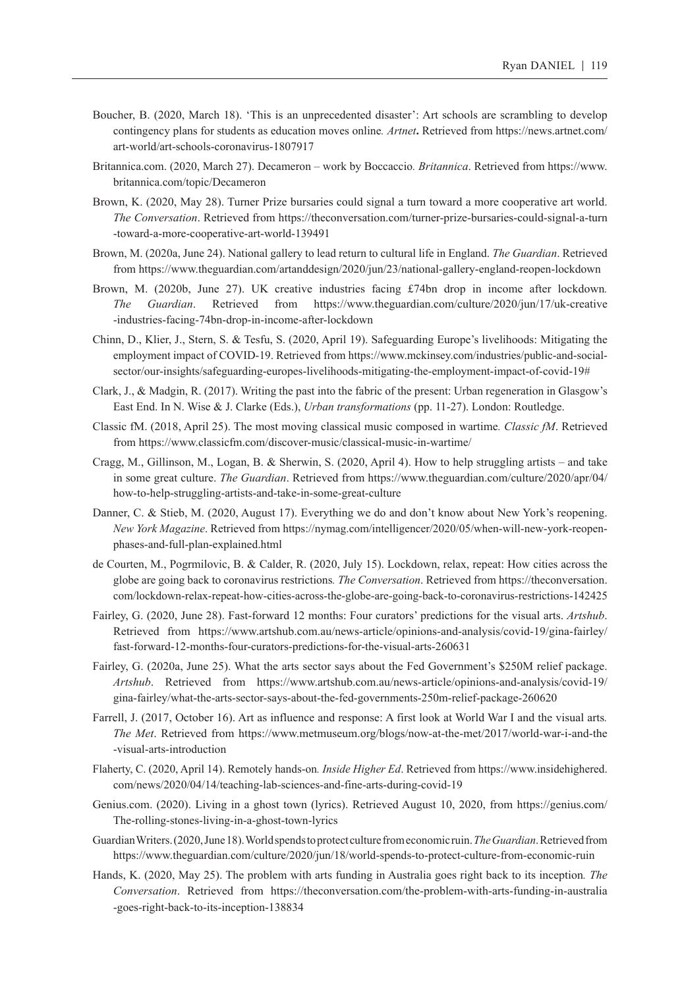- Boucher, B. (2020, March 18). 'This is an unprecedented disaster': Art schools are scrambling to develop contingency plans for students as education moves online*. Artnet***.** Retrieved from [https://news.artnet.com/](https://news.artnet.com/art-world/art-schools-coronavirus-1807917) [art-world/art-schools-coronavirus-1807917](https://news.artnet.com/art-world/art-schools-coronavirus-1807917)
- Britannica.com. (2020, March 27). Decameron work by Boccaccio*. Britannica*. Retrieved from [https://www.](https://www.britannica.com/topic/Decameron) [britannica.com/topic/Decameron](https://www.britannica.com/topic/Decameron)
- Brown, K. (2020, May 28). Turner Prize bursaries could signal a turn toward a more cooperative art world. *The Conversation*. Retrieved from [https://theconversation.com/turner-prize-bursaries-could-signal-a-turn](https://theconversation.com/turner-prize-bursaries-could-signal-a-turn-toward-a-more-cooperative-art-world-139491) [-toward-a-more-cooperative-art-world-139491](https://theconversation.com/turner-prize-bursaries-could-signal-a-turn-toward-a-more-cooperative-art-world-139491)
- Brown, M. (2020a, June 24). National gallery to lead return to cultural life in England. *The Guardian*. Retrieved from https://www.theguardian.com/artanddesign/2020/jun/23/national-gallery-england-reopen-lockdown
- Brown, M. (2020b, June 27). UK creative industries facing £74bn drop in income after lockdown*. The Guardian*. Retrieved from [https://www.theguardian.com/culture/2020/jun/17/uk-creative](https://www.theguardian.com/culture/2020/jun/17/uk-creative-industries-facing-74bn-drop-in-income-after-lockdown) [-industries-facing-74bn-drop-in-income-after-lockdown](https://www.theguardian.com/culture/2020/jun/17/uk-creative-industries-facing-74bn-drop-in-income-after-lockdown)
- Chinn, D., Klier, J., Stern, S. & Tesfu, S. (2020, April 19). Safeguarding Europe's livelihoods: Mitigating the employment impact of COVID-19. Retrieved from [https://www.mckinsey.com/industries/public-and-social](https://www.mckinsey.com/industries/public-and-social-sector/our-insights/safeguarding-europes-livelihoods-mitigating-the-employment-impact-of-covid-19)[sector/our-insights/safeguarding-europes-livelihoods-mitigating-the-employment-impact-of-covid-19#](https://www.mckinsey.com/industries/public-and-social-sector/our-insights/safeguarding-europes-livelihoods-mitigating-the-employment-impact-of-covid-19)
- Clark, J., & Madgin, R. (2017). Writing the past into the fabric of the present: Urban regeneration in Glasgow's East End. In N. Wise & J. Clarke (Eds.), *Urban transformations* (pp. 11-27). London: Routledge.
- Classic fM. (2018, April 25). The most moving classical music composed in wartime*. Classic fM*. Retrieved from <https://www.classicfm.com/discover-music/classical-music-in-wartime/>
- Cragg, M., Gillinson, M., Logan, B. & Sherwin, S. (2020, April 4). How to help struggling artists and take in some great culture. *The Guardian*. Retrieved from [https://www.theguardian.com/culture/2020/apr/04/](https://www.theguardian.com/culture/2020/apr/04/how-to-help-struggling-artists-and-take-in-some-great-culture) [how-to-help-struggling-artists-and-take-in-some-great-culture](https://www.theguardian.com/culture/2020/apr/04/how-to-help-struggling-artists-and-take-in-some-great-culture)
- Danner, C. & Stieb, M. (2020, August 17). Everything we do and don't know about New York's reopening. *New York Magazine*. Retrieved from [https://nymag.com/intelligencer/2020/05/when-will-new-york-reopen](https://nymag.com/intelligencer/2020/05/when-will-new-york-reopen-phases-and-full-plan-explained.html)[phases-and-full-plan-explained.html](https://nymag.com/intelligencer/2020/05/when-will-new-york-reopen-phases-and-full-plan-explained.html)
- de Courten, M., Pogrmilovic, B. & Calder, R. (2020, July 15). Lockdown, relax, repeat: How cities across the globe are going back to coronavirus restrictions*. The Conversation*. Retrieved from https://theconversation. com/lockdown-relax-repeat-how-cities-across-the-globe-are-going-back-to-coronavirus-restrictions-142425
- Fairley, G. (2020, June 28). Fast-forward 12 months: Four curators' predictions for the visual arts. *Artshub*. Retrieved from [https://www.artshub.com.au/news-article/opinions-and-analysis/covid-19/gina-fairley/](https://www.artshub.com.au/news-article/opinions-and-analysis/covid-19/gina-fairley/fast-forward-12-months-four-curators-predictions-for-the-visual-arts-260631) [fast-forward-12-months-four-curators-predictions-for-the-visual-arts-260631](https://www.artshub.com.au/news-article/opinions-and-analysis/covid-19/gina-fairley/fast-forward-12-months-four-curators-predictions-for-the-visual-arts-260631)
- Fairley, G. (2020a, June 25). What the arts sector says about the Fed Government's \$250M relief package. *Artshub*. Retrieved from [https://www.artshub.com.au/news-article/opinions-and-analysis/covid-19/](https://www.artshub.com.au/news-article/opinions-and-analysis/covid-19/gina-fairley/what-the-arts-sector-says-about-the-fed-governments-250m-relief-package-260620) [gina-fairley/what-the-arts-sector-says-about-the-fed-governments-250m-relief-package-260620](https://www.artshub.com.au/news-article/opinions-and-analysis/covid-19/gina-fairley/what-the-arts-sector-says-about-the-fed-governments-250m-relief-package-260620)
- Farrell, J. (2017, October 16). Art as influence and response: A first look at World War I and the visual arts*. The Met*. Retrieved from [https://www.metmuseum.org/blogs/now-at-the-met/2017/world-war-i-and-the](https://www.metmuseum.org/blogs/now-at-the-met/2017/world-war-i-and-the-visual-arts-introduction) [-visual-arts-introduction](https://www.metmuseum.org/blogs/now-at-the-met/2017/world-war-i-and-the-visual-arts-introduction)
- Flaherty, C. (2020, April 14). Remotely hands-on*. Inside Higher Ed*. Retrieved from [https://www.insidehighered.](https://www.insidehighered.com/news/2020/04/14/teaching-lab-sciences-and-fine-arts-during-covid-19) [com/news/2020/04/14/teaching-lab-sciences-and-fine-arts-during-covid-19](https://www.insidehighered.com/news/2020/04/14/teaching-lab-sciences-and-fine-arts-during-covid-19)
- Genius.com. (2020). Living in a ghost town (lyrics). Retrieved August 10, 2020, from [https://genius.com/](https://genius.com/The-rolling-stones-living-in-a-ghost-town-lyrics) [The-rolling-stones-living-in-a-ghost-town-lyrics](https://genius.com/The-rolling-stones-living-in-a-ghost-town-lyrics)
- Guardian Writers. (2020, June 18). World spends to protect culture from economic ruin. *The Guardian*. Retrieved from <https://www.theguardian.com/culture/2020/jun/18/world-spends-to-protect-culture-from-economic-ruin>
- Hands, K. (2020, May 25). The problem with arts funding in Australia goes right back to its inception*. The Conversation*. Retrieved from [https://theconversation.com/the-problem-with-arts-funding-in-australia](https://theconversation.com/the-problem-with-arts-funding-in-australia-goes-right-back-to-its-inception-138834) [-goes-right-back-to-its-inception-138834](https://theconversation.com/the-problem-with-arts-funding-in-australia-goes-right-back-to-its-inception-138834)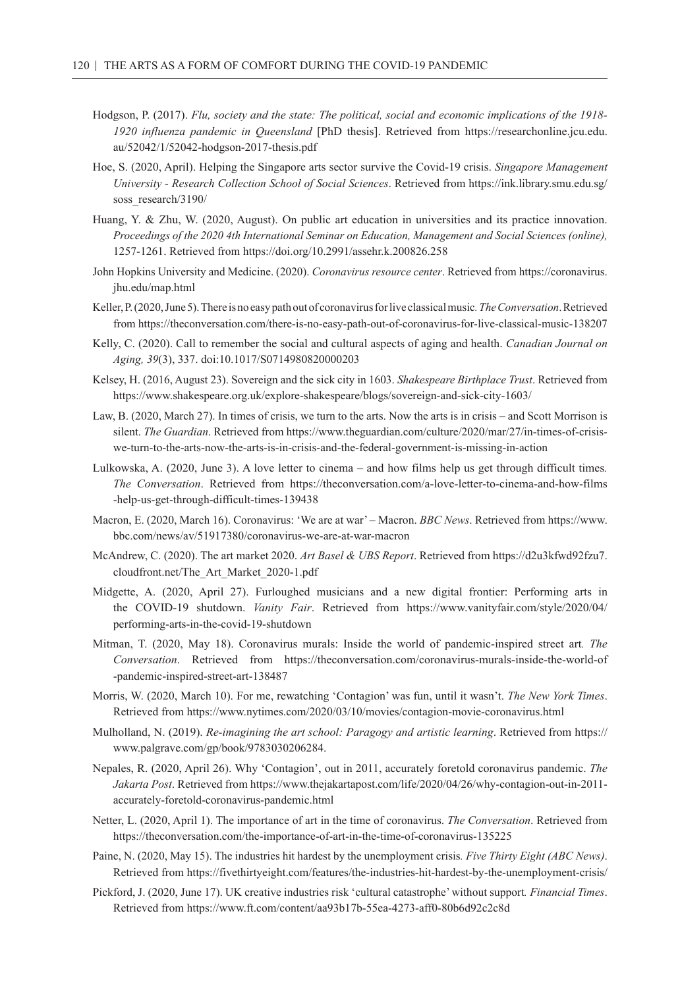- Hodgson, P. (2017). *Flu, society and the state: The political, social and economic implications of the 1918- 1920 influenza pandemic in Queensland* [PhD thesis]. Retrieved from [https://researchonline.jcu.edu.](https://researchonline.jcu.edu.au/52042/1/52042-hodgson-2017-thesis.pdf) [au/52042/1/52042-hodgson-2017-thesis.pdf](https://researchonline.jcu.edu.au/52042/1/52042-hodgson-2017-thesis.pdf)
- Hoe, S. (2020, April). Helping the Singapore arts sector survive the Covid-19 crisis. *Singapore Management University - Research Collection School of Social Sciences*. Retrieved from [https://ink.library.smu.edu.sg/](https://ink.library.smu.edu.sg/soss_research/3190/) [soss\\_research/3190/](https://ink.library.smu.edu.sg/soss_research/3190/)
- Huang, Y. & Zhu, W. (2020, August). On public art education in universities and its practice innovation. *Proceedings of the 2020 4th International Seminar on Education, Management and Social Sciences (online),*  1257-1261. Retrieved from<https://doi.org/10.2991/assehr.k.200826.258>
- John Hopkins University and Medicine. (2020). *Coronavirus resource center*. Retrieved from [https://coronavirus.](https://coronavirus.jhu.edu/map.html) [jhu.edu/map.html](https://coronavirus.jhu.edu/map.html)
- Keller, P. (2020, June 5). There is no easy path out of coronavirus for live classical music*.The Conversation*. Retrieved from https://theconversation.com/there-is-no-easy-path-out-of-coronavirus-for-live-classical-music-138207
- Kelly, C. (2020). Call to remember the social and cultural aspects of aging and health. *Canadian Journal on Aging, 39*(3), 337. doi:10.1017/S0714980820000203
- Kelsey, H. (2016, August 23). Sovereign and the sick city in 1603. *Shakespeare Birthplace Trust*. Retrieved from <https://www.shakespeare.org.uk/explore-shakespeare/blogs/sovereign-and-sick-city-1603/>
- Law, B. (2020, March 27). In times of crisis, we turn to the arts. Now the arts is in crisis and Scott Morrison is silent. *The Guardian*. Retrieved from [https://www.theguardian.com/culture/2020/mar/27/in-times-of-crisis](https://www.theguardian.com/culture/2020/mar/27/in-times-of-crisis-we-turn-to-the-arts-now-the-arts-is-in-crisis-and-the-federal-government-is-missing-in-action)[we-turn-to-the-arts-now-the-arts-is-in-crisis-and-the-federal-government-is-missing-in-action](https://www.theguardian.com/culture/2020/mar/27/in-times-of-crisis-we-turn-to-the-arts-now-the-arts-is-in-crisis-and-the-federal-government-is-missing-in-action)
- Lulkowska, A. (2020, June 3). A love letter to cinema and how films help us get through difficult times*. The Conversation*. Retrieved from [https://theconversation.com/a-love-letter-to-cinema-and-how-films](https://theconversation.com/a-love-letter-to-cinema-and-how-films-help-us-get-through-difficult-times-139438) [-help-us-get-through-difficult-times-139438](https://theconversation.com/a-love-letter-to-cinema-and-how-films-help-us-get-through-difficult-times-139438)
- Macron, E. (2020, March 16). Coronavirus: 'We are at war' Macron. *BBC News*. Retrieved from [https://www.](https://www.bbc.com/news/av/51917380/coronavirus-we-are-at-war-macron) [bbc.com/news/av/51917380/coronavirus-we-are-at-war-macron](https://www.bbc.com/news/av/51917380/coronavirus-we-are-at-war-macron)
- McAndrew, C. (2020). The art market 2020. *Art Basel & UBS Report*. Retrieved from [https://d2u3kfwd92fzu7.](https://d2u3kfwd92fzu7.cloudfront.net/The_Art_Market_2020-1.pdf) [cloudfront.net/The\\_Art\\_Market\\_2020-1.pdf](https://d2u3kfwd92fzu7.cloudfront.net/The_Art_Market_2020-1.pdf)
- Midgette, A. (2020, April 27). Furloughed musicians and a new digital frontier: Performing arts in the COVID-19 shutdown. *Vanity Fair*. Retrieved from [https://www.vanityfair.com/style/2020/04/](https://www.vanityfair.com/style/2020/04/performing-arts-in-the-covid-19-shutdown) [performing-arts-in-the-covid-19-shutdown](https://www.vanityfair.com/style/2020/04/performing-arts-in-the-covid-19-shutdown)
- Mitman, T. (2020, May 18). Coronavirus murals: Inside the world of pandemic-inspired street art*. The Conversation*. Retrieved from [https://theconversation.com/coronavirus-murals-inside-the-world-of](https://theconversation.com/coronavirus-murals-inside-the-world-of-pandemic-inspired-street-art-138487) [-pandemic-inspired-street-art-138487](https://theconversation.com/coronavirus-murals-inside-the-world-of-pandemic-inspired-street-art-138487)
- Morris, W. (2020, March 10). For me, rewatching 'Contagion' was fun, until it wasn't. *The New York Times*. Retrieved from <https://www.nytimes.com/2020/03/10/movies/contagion-movie-coronavirus.html>
- Mulholland, N. (2019). *Re-imagining the art school: Paragogy and artistic learning*. Retrieved from https:// www.palgrave.com/gp/book/9783030206284.
- Nepales, R. (2020, April 26). Why 'Contagion', out in 2011, accurately foretold coronavirus pandemic. *The Jakarta Post*. Retrieved from [https://www.thejakartapost.com/life/2020/04/26/why-contagion-out-in-2011](https://www.thejakartapost.com/life/2020/04/26/why-contagion-out-in-2011-accurately-foretold-coronavirus-pandemic.html) [accurately-foretold-coronavirus-pandemic.html](https://www.thejakartapost.com/life/2020/04/26/why-contagion-out-in-2011-accurately-foretold-coronavirus-pandemic.html)
- Netter, L. (2020, April 1). The importance of art in the time of coronavirus. *The Conversation*. Retrieved from <https://theconversation.com/the-importance-of-art-in-the-time-of-coronavirus-135225>
- Paine, N. (2020, May 15). The industries hit hardest by the unemployment crisis*. Five Thirty Eight (ABC News)*. Retrieved from <https://fivethirtyeight.com/features/the-industries-hit-hardest-by-the-unemployment-crisis/>
- Pickford, J. (2020, June 17). UK creative industries risk 'cultural catastrophe' without support*. Financial Times*. Retrieved from https://www.ft.com/content/aa93b17b-55ea-4273-aff0-80b6d92c2c8d